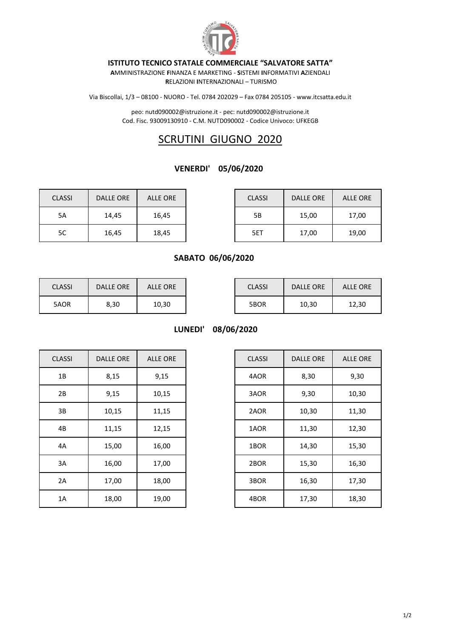

#### **ISTITUTO TECNICO STATALE COMMERCIALE "SALVATORE SATTA"**

**A**MMINISTRAZIONE **F**INANZA E MARKETING - **S**ISTEMI **I**NFORMATIVI **A**ZIENDALI **R**ELAZIONI **I**NTERNAZIONALI – TURISMO

Via Biscollai, 1/3 – 08100 - NUORO - Tel. 0784 202029 – Fax 0784 205105 - www.itcsatta.edu.it

peo: nutd090002@istruzione.it - pec: nutd090002@istruzione.it Cod. Fisc. 93009130910 - C.M. NUTD090002 - Codice Univoco: UFKEGB

# SCRUTINI GIUGNO 2020

#### **VENERDI' 05/06/2020**

| <b>CLASSI</b> | <b>DALLE ORE</b> | ALLE ORE | <b>CLASSI</b> | <b>DALLE ORE</b> | <b>ALLE ORE</b> |
|---------------|------------------|----------|---------------|------------------|-----------------|
| 5A            | 14,45            | 16,45    | 5Β            | 15,00            | 17,00           |
| 5C            | 16,45            | 18,45    | 5ET           | 17,00            | 19,00           |

| <b>ASSI</b> | DALLE ORE | ALLE ORE | <b>CLASSI</b> | <b>DALLE ORE</b> | ALLE ORE |
|-------------|-----------|----------|---------------|------------------|----------|
| 5A          | 14,45     | 16,45    | 5Β            | 15,00            | 17,00    |
| 5C          | 16,45     | 18,45    | 5ET           | 17,00            | 19,00    |

### **SABATO 06/06/2020**

| <b>CLASSI</b> | DALLE ORE | ALLE ORE | <b>CLASSI</b> | DALLE ORE | <b>ALLE ORE</b> |
|---------------|-----------|----------|---------------|-----------|-----------------|
| 5AOR          | 8,30      | 10,30    | 5BOR          | 10,30     | 12,30           |

**LUNEDI' 08/06/2020**

| <b>CLASSI</b> | <b>DALLE ORE</b> | <b>ALLE ORE</b> | <b>CLASSI</b> | <b>DALLE ORE</b> | ALLE O |
|---------------|------------------|-----------------|---------------|------------------|--------|
| 1B            | 8,15             | 9,15            | 4AOR          | 8,30             | 9,30   |
| 2B            | 9,15             | 10,15           | 3AOR          | 9,30             | 10,30  |
| 3B            | 10,15            | 11,15           | 2AOR          | 10,30            | 11,30  |
| 4B            | 11,15            | 12,15           | 1AOR          | 11,30            | 12,30  |
| 4A            | 15,00            | 16,00           | 1BOR          | 14,30            | 15,30  |
| 3A            | 16,00            | 17,00           | 2BOR          | 15,30            | 16,30  |
| 2A            | 17,00            | 18,00           | 3BOR          | 16,30            | 17,30  |
| 1A            | 18,00            | 19,00           | 4BOR          | 17,30            | 18,30  |

| <b>CLASSI</b> | <b>DALLE ORE</b> | <b>ALLE ORE</b> | <b>CLASSI</b> | <b>DALLE ORE</b> | <b>ALLE ORE</b> |
|---------------|------------------|-----------------|---------------|------------------|-----------------|
| 1B            | 8,15             | 9,15            | 4AOR          | 8,30             | 9,30            |
| 2B            | 9,15             | 10,15           | 3AOR          | 9,30             | 10,30           |
| 3B            | 10,15            | 11,15           | 2AOR          | 10,30            | 11,30           |
| 4B            | 11,15            | 12,15           | 1AOR          | 11,30            | 12,30           |
| 4A            | 15,00            | 16,00           | 1BOR          | 14,30            | 15,30           |
| 3A            | 16,00            | 17,00           | 2BOR          | 15,30            | 16,30           |
| 2A            | 17,00            | 18,00           | 3BOR          | 16,30            | 17,30           |
| 1A            | 18,00            | 19,00           | 4BOR          | 17,30            | 18,30           |